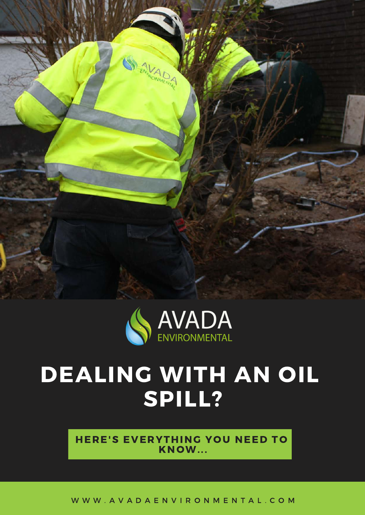



# DEALING WITH AN OIL SPILL?

HERE'S EVERYTHING YOU NEED TO KNOW...

W W W . A V A D A E N V I R O N M E N T A L . C O M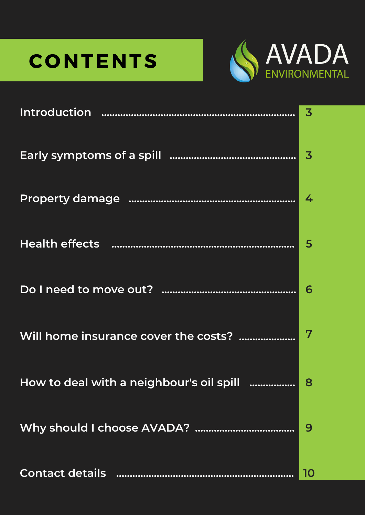# **CONTENTS**



| <b>Introduction</b>                      | 3  |
|------------------------------------------|----|
|                                          | 3  |
|                                          | 4  |
| <b>Health effects</b>                    | 5  |
| Do I need to move out?                   | 6  |
| Will home insurance cover the costs?     |    |
| How to deal with a neighbour's oil spill | 8  |
|                                          | 9  |
| <b>Contact details</b>                   | 10 |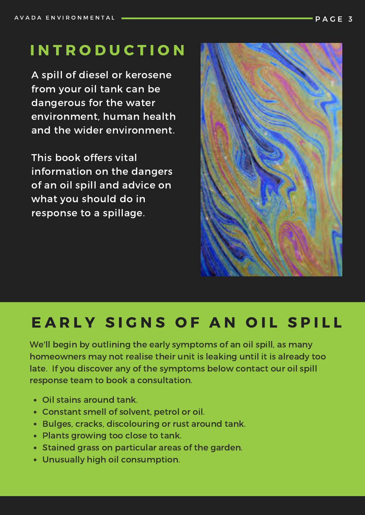## **INTRODUCTION**

A spill of diesel or kerosene from your oil tank can be dangerous for the water environment, human health and the wider environment.

This book offers vital information on the dangers of an oil spill and advice on what you should do in response to a spillage.



# EARLY SIGNS OF AN OIL SPILL

We'll begin by outlining the early symptoms of an oil spill, as many homeowners may not realise their unit is leaking until it is already too late. If you discover any of the symptoms below contact our oil spill response team to book a consultation.

- Oil stains around tank.
- Constant smell of solvent, petrol or oil.
- Bulges, cracks, discolouring or rust around tank.
- Plants growing too close to tank.
- Stained grass on particular areas of the garden.
- Unusually high oil consumption.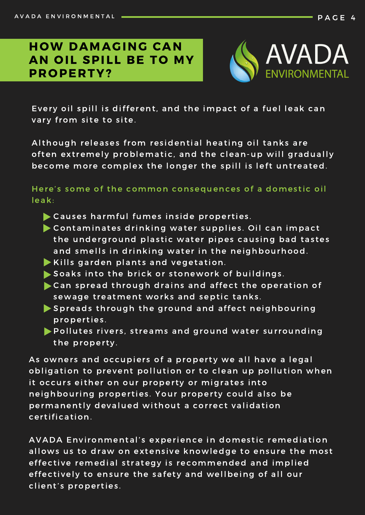### **HOW DAMAGING CAN** AN OIL SPILL BE TO MY PROPERTY?



Every oil spill is different, and the impact of a fuel leak can vary from site to site.

Although releases from residential heating oil tanks are often extremely problematic, and the clean-up will gradually become more complex the longer the spill is left untreated.

Here's some of the common consequences of a domestic oil leak:

- $\blacktriangleright$  Causes harmful fumes inside properties.
- $\blacktriangleright$  Contaminates drinking water supplies. Oil can impact the underground plastic water pipes causing bad tastes and smells in drinking water in the neighbourhood.
- $\blacktriangleright$  Kills garden plants and vegetation.
- $\blacktriangleright$  Soaks into the brick or stonework of buildings.
- $\blacktriangleright$  Can spread through drains and affect the operation of sewage treatment works and septic tanks.
- $\blacktriangleright$  Spreads through the ground and affect neighbouring properties.
- Pollutes rivers, streams and ground water surrounding the property.

As owners and occupiers of a property we all have a legal obligation to prevent pollution or to clean up pollution when it occurs either on our property or migrates into neighbouring properties. Your property could also be permanently devalued without a correct validation c er tification.

AVADA Environmental's experience in domestic remediation allows us to draw on extensive knowledge to ensure the most effective remedial strategy is recommended and implied effectively to ensure the safety and wellbeing of all our client's properties.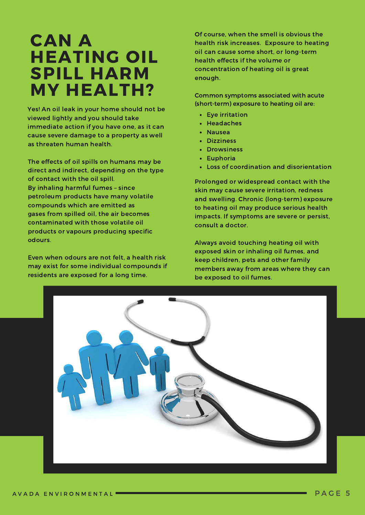# CAN A **HEATING OIL SPILL HARM** MY HEALTH?

Yes! An oil leak in your home should not be viewed lightly and you should take immediate action if you have one, as it can cause severe damage to a property as well as threaten human health.

The effects of oil spills on humans may be direct and indirect, depending on the type of contact with the oil spill. By inhaling harmful fumes – since petroleum products have many volatile compounds which are emitted as gases from spilled oil, the air becomes contaminated with those volatile oil products or vapours producing specific odours.

Even when odours are not felt, a health risk may exist for some individual compounds if residents are exposed for a long time.

Of course, when the smell is obvious the health risk increases. Exposure to heating oil can cause some short, or long-term health effects if the volume or concentration of heating oil is great enough.

Common symptoms associated with acute (short-term) exposure to heating oil are:

- Eye irritation
- Headaches
- Nausea
- Dizziness
- Drowsiness
- Euphoria
- Loss of coordination and disorientation

Prolonged or widespread contact with the skin may cause severe irritation, redness and swelling. Chronic (long-term) exposure to heating oil may produce serious health impacts. If symptoms are severe or persist, consult a doctor.

Always avoid touching heating oil with exposed skin or inhaling oil fumes, and keep children, pets and other family members away from areas where they can be exposed to oil fumes.

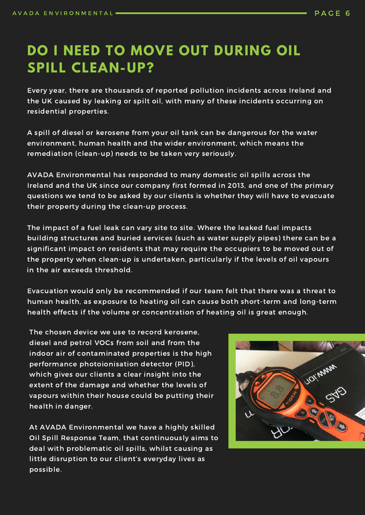## **DO I NEED TO MOVE OUT DURING OIL SPILL CLEAN-UP?**

Every year, there are thousands of reported pollution incidents across Ireland and the UK caused by leaking or spilt oil, with many of these incidents occurring on residential properties.

A spill of diesel or kerosene from your oil tank can be dangerous for the water environment, human health and the wider environment, which means the remediation (clean-up) needs to be taken very seriously.

AVADA Environmental has responded to many domestic oil spills across the Ireland and the UK since our company first formed in 2013, and one of the primary questions we tend to be asked by our clients is whether they will have to evacuate their property during the clean-up process.

The impact of a fuel leak can vary site to site. Where the leaked fuel impacts building structures and buried services (such as water supply pipes) there can be a significant impact on residents that may require the occupiers to be moved out of the property when clean-up is undertaken, particularly if the levels of oil vapours in the air exceeds threshold.

Evacuation would only be recommended if our team felt that there was a threat to human health, as exposure to heating oil can cause both short-term and long-term health effects if the volume or concentration of heating oil is great enough.

The chosen device we use to record kerosene, diesel and petrol VOCs from soil and from the indoor air of contaminated properties is the high performance photoionisation detector (PID), which gives our clients a clear insight into the extent of the damage and whether the levels of vapours within their house could be putting their health in danger.

At AVADA Environmental we have a highly skilled Oil Spill Response Team, that continuously aims to deal with problematic oil spills, whilst causing as little disruption to our client's everyday lives as possible.

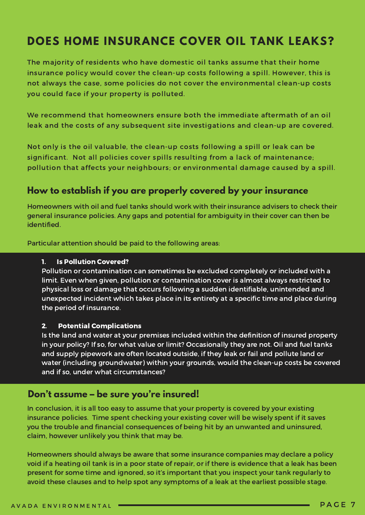## **DOES HOME INSURANCE COVER OIL TANK LEAKS?**

The majority of residents who have domestic oil tanks assume that their home insurance policy would cover the clean-up costs following a spill. However, this is not always the case, some policies do not cover the environmental clean-up costs you could face if your property is polluted.

We recommend that homeowners ensure both the immediate aftermath of an oil leak and the costs of any subsequent site investigations and clean-up are covered.

Not only is the oil valuable, the clean-up costs following a spill or leak can be significant. Not all policies cover spills resulting from a lack of maintenance; pollution that affects your neighbours; or environmental damage caused by a spill.

### **How to establish if you are properly covered by your insurance**

Homeowners with oil and fuel tanks should work with their insurance advisers to check their general insurance policies. Any gaps and potential for ambiguity in their cover can then be identified.

Particular attention should be paid to the following areas:

#### 1. Is Pollution Covered?

Pollution or contamination can sometimes be excluded completely or included with a limit. Even when given, pollution or contamination cover is almost always restricted to physical loss or damage that occurs following a sudden identifiable, unintended and unexpected incident which takes place in its entirety at a specific time and place during the period of insurance.

#### 2. Potential Complications

Is the land and water at your premises included within the definition of insured property in your policy? If so, for what value or limit? Occasionally they are not. Oil and fuel tanks and supply pipework are often located outside, if they leak or fail and pollute land or water (including groundwater) within your grounds, would the clean-up costs be covered and if so, under what circumstances?

#### **Don't assume – be sure you're insured!**

In conclusion, it is all too easy to assume that your property is covered by your existing insurance policies. Time spent checking your existing cover will be wisely spent if it saves you the trouble and financial consequences of being hit by an unwanted and uninsured, claim, however unlikely you think that may be.

Homeowners should always be aware that some insurance companies may declare a policy void if a heating oil tank is in a poor state of repair, or if there is evidence that a leak has been present for some time and ignored, so it's important that you inspect your tank regularly to avoid these clauses and to help spot any symptoms of a leak at the earliest possible stage.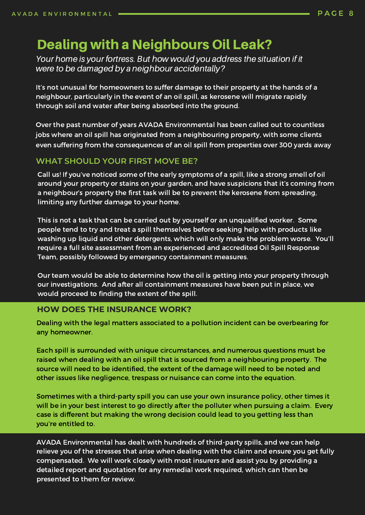### Dealing with a Neighbours Oil Leak?

Your home is your fortress. But how would you address the situation if it were to be damaged by a neighbour accidentally?

It's not unusual for homeowners to suffer damage to their property at the hands of a neighbour, particularly in the event of an oil spill, as kerosene will migrate rapidly through soil and water after being absorbed into the ground.

Over the past number of years AVADA Environmental has been called out to countless jobs where an oil spill has originated from a neighbouring property, with some clients even suffering from the consequences of an oil spill from properties over 300 yards away

#### **WHAT SHOULD YOUR FIRST MOVE BE?**

Call us! If you've noticed some of the early symptoms of a spill, like a strong smell of oil around your property or stains on your garden, and have suspicions that it's coming from a neighbour's property the first task will be to prevent the kerosene from spreading, limiting any further damage to your home.

This is not a task that can be carried out by yourself or an unqualified worker. Some people tend to try and treat a spill themselves before seeking help with products like washing up liquid and other detergents, which will only make the problem worse. You'll require a full site assessment from an experienced and accredited Oil Spill Response Team, possibly followed by emergency containment measures.

Our team would be able to determine how the oil is getting into your property through our investigations. And after all containment measures have been put in place, we would proceed to finding the extent of the spill.

#### **HOW DOES THE INSURANCE WORK?**

Dealing with the legal matters associated to a pollution incident can be overbearing for any homeowner.

Each spill is surrounded with unique circumstances, and numerous questions must be raised when dealing with an oil spill that is sourced from a neighbouring property. The source will need to be identified, the extent of the damage will need to be noted and other issues like negligence, trespass or nuisance can come into the equation.

Sometimes with a third-party spill you can use your own insurance policy, other times it will be in your best interest to go directly after the polluter when pursuing a claim. Every case is different but making the wrong decision could lead to you getting less than you're entitled to.

AVADA Environmental has dealt with hundreds of third-party spills, and we can help relieve you of the stresses that arise when dealing with the claim and ensure you get fully compensated. We will work closely with most insurers and assist you by providing a detailed report and quotation for any remedial work required, which can then be presented to them for review.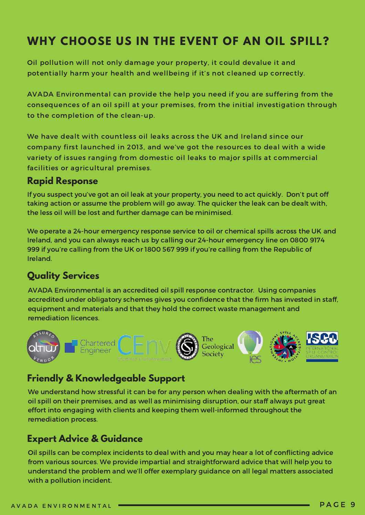## **WHY CHOOSE US IN THE EVENT OF AN OIL SPILL?**

Oil pollution will not only damage your property, it could devalue it and potentially harm your health and wellbeing if it's not cleaned up correctly.

AVADA Environmental can provide the help you need if you are suffering from the consequences of an oil spill at your premises, from the initial investigation through to the completion of the clean-up.

We have dealt with countless oil leaks across the UK and Ireland since our company first launched in 2013, and we've got the resources to deal with a wide variety of issues ranging from domestic oil leaks to major spills at commercial facilities or agricultural premises.

#### **Rapid Response**

If you suspect you've got an oil leak at your property, you need to act quickly. Don't put off taking action or assume the problem will go away. The quicker the leak can be dealt with, the less oil will be lost and further damage can be minimised.

We operate a 24-hour emergency response service to oil or chemical spills across the UK and Ireland, and you can always reach us by calling our 24-hour emergency line on 0800 9174 999 if you're calling from the UK or 1800 567 999 if you're calling from the Republic of Ireland.

### **Quality Services**

AVADA Environmental is an accredited oil spill response contractor. Using companies accredited under obligatory schemes gives you confidence that the firm has invested in staff, equipment and materials and that they hold the correct waste management and remediation licences.



### **Friendly & Knowledgeable Support**

We understand how stressful it can be for any person when dealing with the aftermath of an oil spill on their premises, and as well as minimising disruption, our staff always put great effort into engaging with clients and keeping them well-informed throughout the remediation process.

### **Expert Advice & Guidance**

Oil spills can be complex incidents to deal with and you may hear a lot of conflicting advice from various sources. We provide impartial and straightforward advice that will help you to understand the problem and we'll offer exemplary guidance on all legal matters associated with a pollution incident.